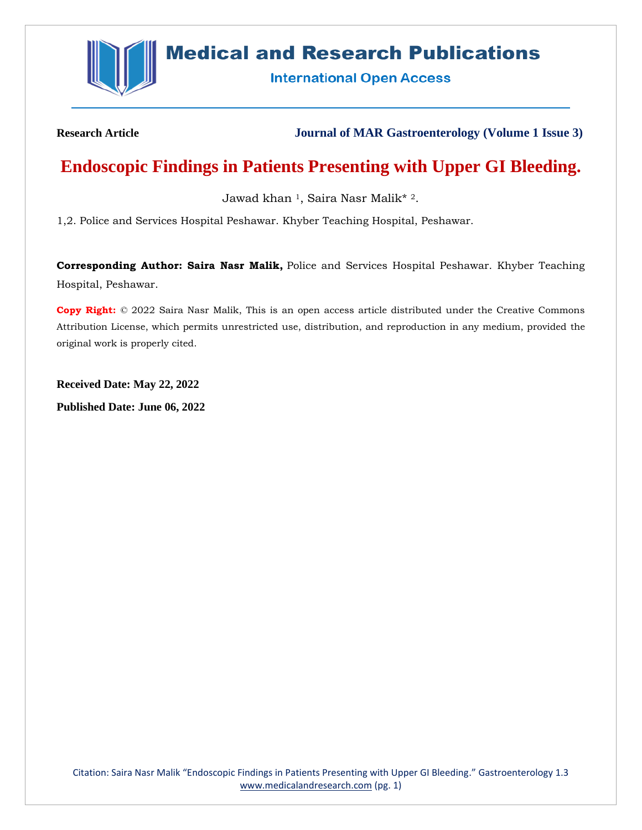

# **Medical and Research Publications**

**International Open Access** 

**Research Article Journal of MAR Gastroenterology (Volume 1 Issue 3)**

## **Endoscopic Findings in Patients Presenting with Upper GI Bleeding.**

Jawad khan <sup>1</sup>, Saira Nasr Malik\* 2.

1,2. Police and Services Hospital Peshawar. Khyber Teaching Hospital, Peshawar.

**Corresponding Author: Saira Nasr Malik,** Police and Services Hospital Peshawar. Khyber Teaching Hospital, Peshawar.

**Copy Right:** © 2022 Saira Nasr Malik, This is an open access article distributed under the Creative Commons Attribution License, which permits unrestricted use, distribution, and reproduction in any medium, provided the original work is properly cited.

**Received Date: May 22, 2022**

**Published Date: June 06, 2022**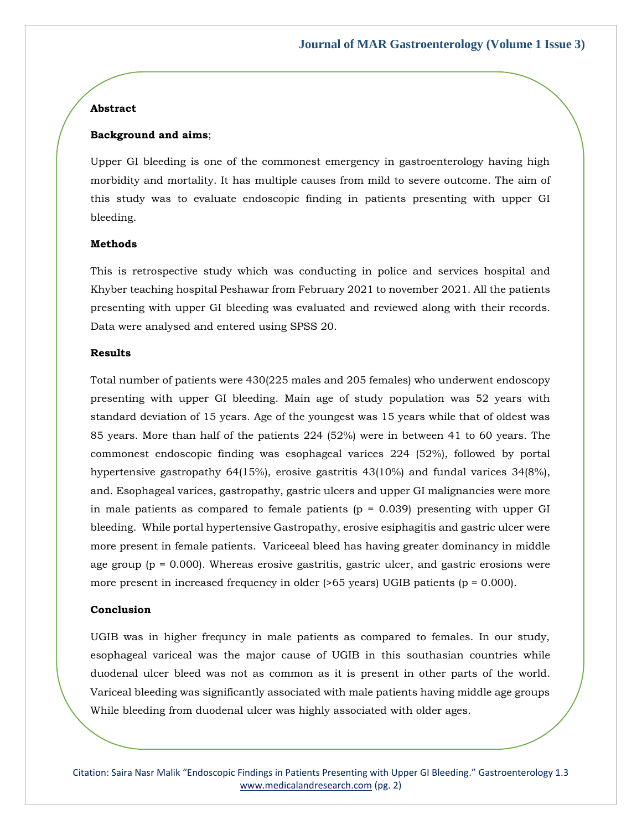## **Abstract**

#### **Background and aims**;

Upper GI bleeding is one of the commonest emergency in gastroenterology having high morbidity and mortality. It has multiple causes from mild to severe outcome. The aim of this study was to evaluate endoscopic finding in patients presenting with upper GI bleeding.

#### **Methods**

This is retrospective study which was conducting in police and services hospital and Khyber teaching hospital Peshawar from February 2021 to november 2021. All the patients presenting with upper GI bleeding was evaluated and reviewed along with their records. Data were analysed and entered using SPSS 20.

#### **Results**

Total number of patients were 430(225 males and 205 females) who underwent endoscopy presenting with upper GI bleeding. Main age of study population was 52 years with standard deviation of 15 years. Age of the youngest was 15 years while that of oldest was 85 years. More than half of the patients 224 (52%) were in between 41 to 60 years. The commonest endoscopic finding was esophageal varices 224 (52%), followed by portal hypertensive gastropathy  $64(15%)$ , erosive gastritis  $43(10%)$  and fundal varices  $34(8%)$ , and. Esophageal varices, gastropathy, gastric ulcers and upper GI malignancies were more in male patients as compared to female patients  $(p = 0.039)$  presenting with upper GI bleeding. While portal hypertensive Gastropathy, erosive esiphagitis and gastric ulcer were more present in female patients. Variceeal bleed has having greater dominancy in middle age group  $(p = 0.000)$ . Whereas erosive gastritis, gastric ulcer, and gastric erosions were more present in increased frequency in older  $($ >65 years) UGIB patients (p = 0.000).

#### **Conclusion**

UGIB was in higher frequncy in male patients as compared to females. In our study, esophageal variceal was the major cause of UGIB in this southasian countries while duodenal ulcer bleed was not as common as it is present in other parts of the world. Variceal bleeding was significantly associated with male patients having middle age groups While bleeding from duodenal ulcer was highly associated with older ages.

Citation: Saira Nasr Malik "Endoscopic Findings in Patients Presenting with Upper GI Bleeding." Gastroenterology 1.3 [www.medicalandresearch.com](http://www.medicalandresearch.com/) (pg. 2)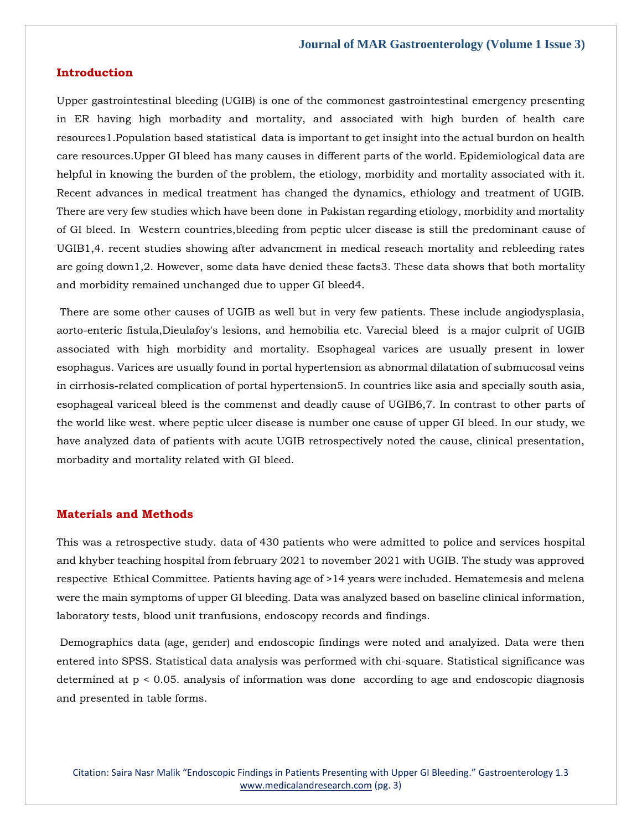## **Introduction**

Upper gastrointestinal bleeding (UGIB) is one of the commonest gastrointestinal emergency presenting in ER having high morbadity and mortality, and associated with high burden of health care resources1.Population based statistical data is important to get insight into the actual burdon on health care resources.Upper GI bleed has many causes in different parts of the world. Epidemiological data are helpful in knowing the burden of the problem, the etiology, morbidity and mortality associated with it. Recent advances in medical treatment has changed the dynamics, ethiology and treatment of UGIB. There are very few studies which have been done in Pakistan regarding etiology, morbidity and mortality of GI bleed. In Western countries,bleeding from peptic ulcer disease is still the predominant cause of UGIB1,4. recent studies showing after advancment in medical reseach mortality and rebleeding rates are going down1,2. However, some data have denied these facts3. These data shows that both mortality and morbidity remained unchanged due to upper GI bleed4.

There are some other causes of UGIB as well but in very few patients. These include angiodysplasia, aorto-enteric fistula,Dieulafoy's lesions, and hemobilia etc. Varecial bleed is a major culprit of UGIB associated with high morbidity and mortality. Esophageal varices are usually present in lower esophagus. Varices are usually found in portal hypertension as abnormal dilatation of submucosal veins in cirrhosis-related complication of portal hypertension5. In countries like asia and specially south asia, esophageal variceal bleed is the commenst and deadly cause of UGIB6,7. In contrast to other parts of the world like west. where peptic ulcer disease is number one cause of upper GI bleed. In our study, we have analyzed data of patients with acute UGIB retrospectively noted the cause, clinical presentation, morbadity and mortality related with GI bleed.

## **Materials and Methods**

This was a retrospective study. data of 430 patients who were admitted to police and services hospital and khyber teaching hospital from february 2021 to november 2021 with UGIB. The study was approved respective Ethical Committee. Patients having age of >14 years were included. Hematemesis and melena were the main symptoms of upper GI bleeding. Data was analyzed based on baseline clinical information, laboratory tests, blood unit tranfusions, endoscopy records and findings.

Demographics data (age, gender) and endoscopic findings were noted and analyized. Data were then entered into SPSS. Statistical data analysis was performed with chi-square. Statistical significance was determined at p < 0.05. analysis of information was done according to age and endoscopic diagnosis and presented in table forms.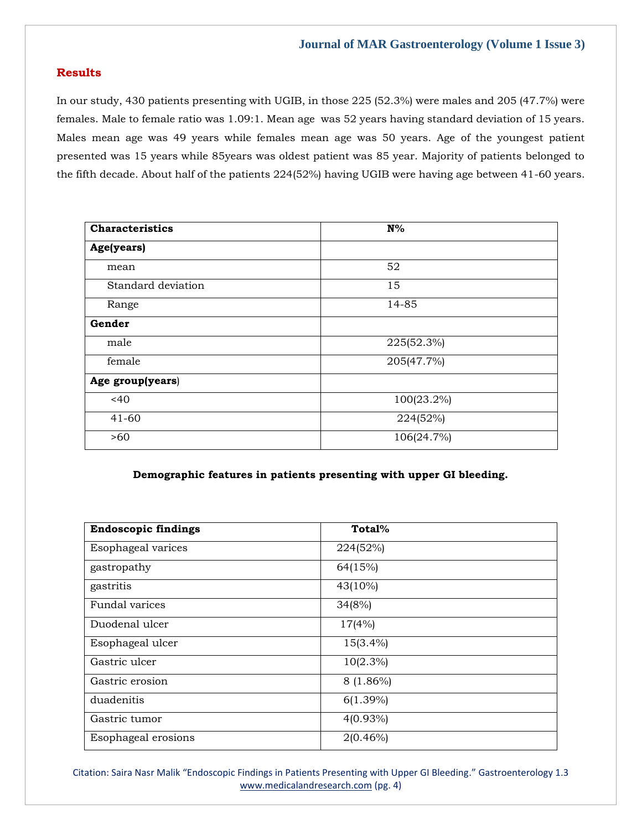## **Results**

In our study, 430 patients presenting with UGIB, in those 225 (52.3%) were males and 205 (47.7%) were females. Male to female ratio was 1.09:1. Mean age was 52 years having standard deviation of 15 years. Males mean age was 49 years while females mean age was 50 years. Age of the youngest patient presented was 15 years while 85years was oldest patient was 85 year. Majority of patients belonged to the fifth decade. About half of the patients 224(52%) having UGIB were having age between 41-60 years.

| <b>Characteristics</b> | $N\%$      |
|------------------------|------------|
| Age(years)             |            |
| mean                   | 52         |
| Standard deviation     | 15         |
| Range                  | 14-85      |
| Gender                 |            |
| male                   | 225(52.3%) |
| female                 | 205(47.7%) |
| Age group(years)       |            |
| <40                    | 100(23.2%) |
| $41 - 60$              | 224(52%)   |
| >60                    | 106(24.7%) |

## **Demographic features in patients presenting with upper GI bleeding.**

| <b>Endoscopic findings</b> | Total%      |
|----------------------------|-------------|
| Esophageal varices         | 224(52%)    |
| gastropathy                | 64(15%)     |
| gastritis                  | 43(10%)     |
| Fundal varices             | 34(8%)      |
| Duodenal ulcer             | 17(4%)      |
| Esophageal ulcer           | 15(3.4%)    |
| Gastric ulcer              | $10(2.3\%)$ |
| Gastric erosion            | $8(1.86\%)$ |
| duadenitis                 | $6(1.39\%)$ |
| Gastric tumor              | $4(0.93\%)$ |
| Esophageal erosions        | $2(0.46\%)$ |

Citation: Saira Nasr Malik "Endoscopic Findings in Patients Presenting with Upper GI Bleeding." Gastroenterology 1.3 [www.medicalandresearch.com](http://www.medicalandresearch.com/) (pg. 4)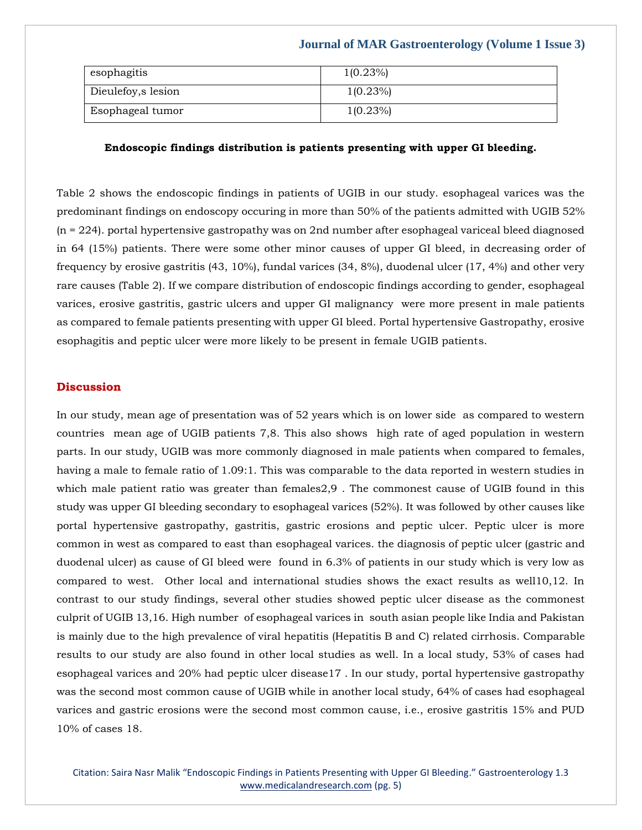| esophagitis         | $1(0.23\%)$ |
|---------------------|-------------|
|                     |             |
| Dieulefoy, s lesion | $1(0.23\%)$ |
|                     |             |
|                     |             |
| Esophageal tumor    | $1(0.23\%)$ |
|                     |             |
|                     |             |

#### **Endoscopic findings distribution is patients presenting with upper GI bleeding.**

Table 2 shows the endoscopic findings in patients of UGIB in our study. esophageal varices was the predominant findings on endoscopy occuring in more than 50% of the patients admitted with UGIB 52% (n = 224). portal hypertensive gastropathy was on 2nd number after esophageal variceal bleed diagnosed in 64 (15%) patients. There were some other minor causes of upper GI bleed, in decreasing order of frequency by erosive gastritis (43, 10%), fundal varices (34, 8%), duodenal ulcer (17, 4%) and other very rare causes (Table 2). If we compare distribution of endoscopic findings according to gender, esophageal varices, erosive gastritis, gastric ulcers and upper GI malignancy were more present in male patients as compared to female patients presenting with upper GI bleed. Portal hypertensive Gastropathy, erosive esophagitis and peptic ulcer were more likely to be present in female UGIB patients.

## **Discussion**

In our study, mean age of presentation was of 52 years which is on lower side as compared to western countries mean age of UGIB patients 7,8. This also shows high rate of aged population in western parts. In our study, UGIB was more commonly diagnosed in male patients when compared to females, having a male to female ratio of 1.09:1. This was comparable to the data reported in western studies in which male patient ratio was greater than females2,9 . The commonest cause of UGIB found in this study was upper GI bleeding secondary to esophageal varices (52%). It was followed by other causes like portal hypertensive gastropathy, gastritis, gastric erosions and peptic ulcer. Peptic ulcer is more common in west as compared to east than esophageal varices. the diagnosis of peptic ulcer (gastric and duodenal ulcer) as cause of GI bleed were found in 6.3% of patients in our study which is very low as compared to west. Other local and international studies shows the exact results as well10,12. In contrast to our study findings, several other studies showed peptic ulcer disease as the commonest culprit of UGIB 13,16. High number of esophageal varices in south asian people like India and Pakistan is mainly due to the high prevalence of viral hepatitis (Hepatitis B and C) related cirrhosis. Comparable results to our study are also found in other local studies as well. In a local study, 53% of cases had esophageal varices and 20% had peptic ulcer disease17 . In our study, portal hypertensive gastropathy was the second most common cause of UGIB while in another local study, 64% of cases had esophageal varices and gastric erosions were the second most common cause, i.e., erosive gastritis 15% and PUD 10% of cases 18.

Citation: Saira Nasr Malik "Endoscopic Findings in Patients Presenting with Upper GI Bleeding." Gastroenterology 1.3 [www.medicalandresearch.com](http://www.medicalandresearch.com/) (pg. 5)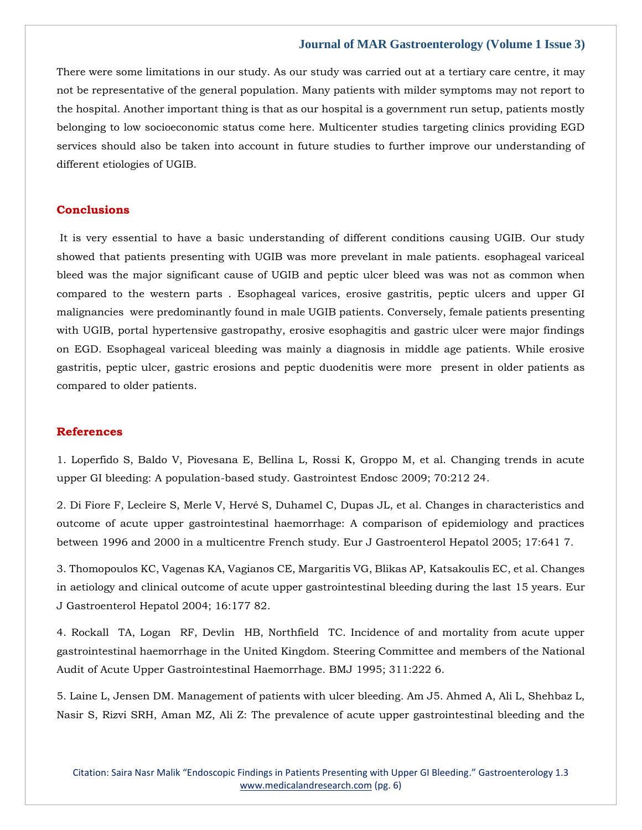There were some limitations in our study. As our study was carried out at a tertiary care centre, it may not be representative of the general population. Many patients with milder symptoms may not report to the hospital. Another important thing is that as our hospital is a government run setup, patients mostly belonging to low socioeconomic status come here. Multicenter studies targeting clinics providing EGD services should also be taken into account in future studies to further improve our understanding of different etiologies of UGIB.

## **Conclusions**

It is very essential to have a basic understanding of different conditions causing UGIB. Our study showed that patients presenting with UGIB was more prevelant in male patients. esophageal variceal bleed was the major significant cause of UGIB and peptic ulcer bleed was was not as common when compared to the western parts . Esophageal varices, erosive gastritis, peptic ulcers and upper GI malignancies were predominantly found in male UGIB patients. Conversely, female patients presenting with UGIB, portal hypertensive gastropathy, erosive esophagitis and gastric ulcer were major findings on EGD. Esophageal variceal bleeding was mainly a diagnosis in middle age patients. While erosive gastritis, peptic ulcer, gastric erosions and peptic duodenitis were more present in older patients as compared to older patients.

## **References**

1. Loperfido S, Baldo V, Piovesana E, Bellina L, Rossi K, Groppo M, et al. Changing trends in acute upper GI bleeding: A population-based study. Gastrointest Endosc 2009; 70:212 24.

2. Di Fiore F, Lecleire S, Merle V, Hervé S, Duhamel C, Dupas JL, et al. Changes in characteristics and outcome of acute upper gastrointestinal haemorrhage: A comparison of epidemiology and practices between 1996 and 2000 in a multicentre French study. Eur J Gastroenterol Hepatol 2005; 17:641 7.

3. Thomopoulos KC, Vagenas KA, Vagianos CE, Margaritis VG, Blikas AP, Katsakoulis EC, et al. Changes in aetiology and clinical outcome of acute upper gastrointestinal bleeding during the last 15 years. Eur J Gastroenterol Hepatol 2004; 16:177 82.

4. Rockall TA, Logan RF, Devlin HB, Northfield TC. Incidence of and mortality from acute upper gastrointestinal haemorrhage in the United Kingdom. Steering Committee and members of the National Audit of Acute Upper Gastrointestinal Haemorrhage. BMJ 1995; 311:222 6.

5. Laine L, Jensen DM. Management of patients with ulcer bleeding. Am J5. Ahmed A, Ali L, Shehbaz L, Nasir S, Rizvi SRH, Aman MZ, Ali Z: The prevalence of acute upper gastrointestinal bleeding and the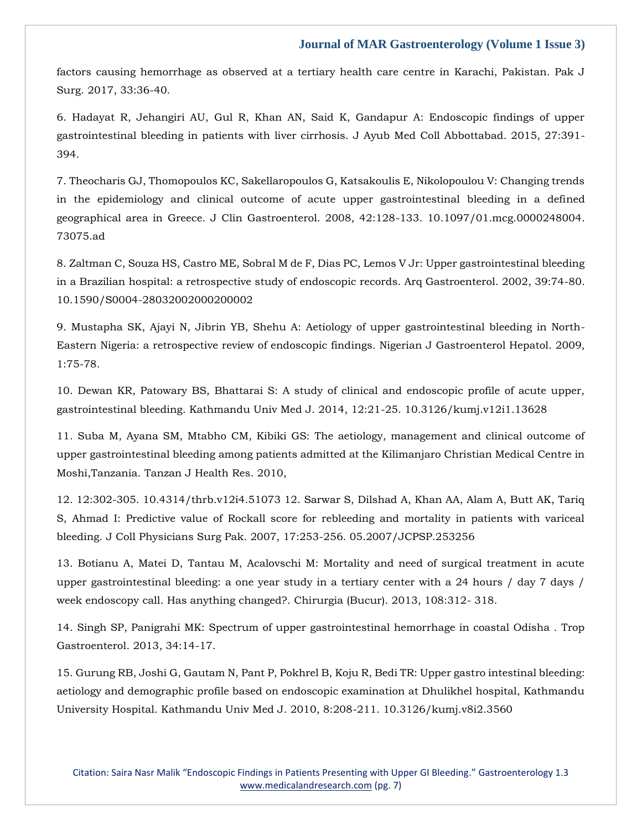factors causing hemorrhage as observed at a tertiary health care centre in Karachi, Pakistan. Pak J Surg. 2017, 33:36-40.

6. Hadayat R, Jehangiri AU, Gul R, Khan AN, Said K, Gandapur A: Endoscopic findings of upper gastrointestinal bleeding in patients with liver cirrhosis. J Ayub Med Coll Abbottabad. 2015, 27:391- 394.

7. Theocharis GJ, Thomopoulos KC, Sakellaropoulos G, Katsakoulis E, Nikolopoulou V: Changing trends in the epidemiology and clinical outcome of acute upper gastrointestinal bleeding in a defined geographical area in Greece. J Clin Gastroenterol. 2008, 42:128-133. 10.1097/01.mcg.0000248004. 73075.ad

8. Zaltman C, Souza HS, Castro ME, Sobral M de F, Dias PC, Lemos V Jr: Upper gastrointestinal bleeding in a Brazilian hospital: a retrospective study of endoscopic records. Arq Gastroenterol. 2002, 39:74-80. 10.1590/S0004-28032002000200002

9. Mustapha SK, Ajayi N, Jibrin YB, Shehu A: Aetiology of upper gastrointestinal bleeding in North-Eastern Nigeria: a retrospective review of endoscopic findings. Nigerian J Gastroenterol Hepatol. 2009, 1:75-78.

10. Dewan KR, Patowary BS, Bhattarai S: A study of clinical and endoscopic profile of acute upper, gastrointestinal bleeding. Kathmandu Univ Med J. 2014, 12:21-25. 10.3126/kumj.v12i1.13628

11. Suba M, Ayana SM, Mtabho CM, Kibiki GS: The aetiology, management and clinical outcome of upper gastrointestinal bleeding among patients admitted at the Kilimanjaro Christian Medical Centre in Moshi,Tanzania. Tanzan J Health Res. 2010,

12. 12:302-305. 10.4314/thrb.v12i4.51073 12. Sarwar S, Dilshad A, Khan AA, Alam A, Butt AK, Tariq S, Ahmad I: Predictive value of Rockall score for rebleeding and mortality in patients with variceal bleeding. J Coll Physicians Surg Pak. 2007, 17:253-256. 05.2007/JCPSP.253256

13. Botianu A, Matei D, Tantau M, Acalovschi M: Mortality and need of surgical treatment in acute upper gastrointestinal bleeding: a one year study in a tertiary center with a 24 hours / day 7 days / week endoscopy call. Has anything changed?. Chirurgia (Bucur). 2013, 108:312- 318.

14. Singh SP, Panigrahi MK: Spectrum of upper gastrointestinal hemorrhage in coastal Odisha . Trop Gastroenterol. 2013, 34:14-17.

15. Gurung RB, Joshi G, Gautam N, Pant P, Pokhrel B, Koju R, Bedi TR: Upper gastro intestinal bleeding: aetiology and demographic profile based on endoscopic examination at Dhulikhel hospital, Kathmandu University Hospital. Kathmandu Univ Med J. 2010, 8:208-211. 10.3126/kumj.v8i2.3560